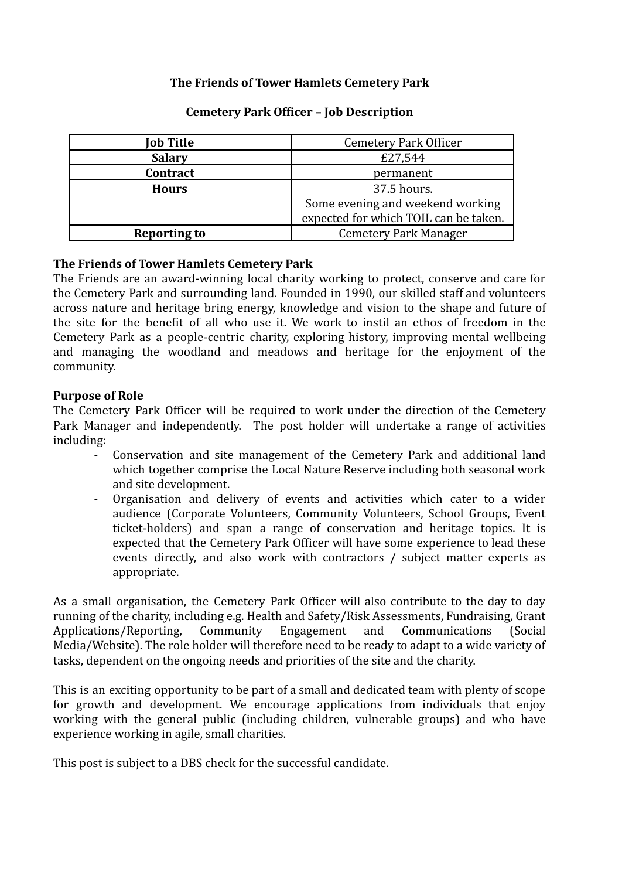## **The Friends of Tower Hamlets Cemetery Park**

| Job Title           | <b>Cemetery Park Officer</b>          |  |
|---------------------|---------------------------------------|--|
| <b>Salary</b>       | £27,544                               |  |
| Contract            | permanent                             |  |
| <b>Hours</b>        | 37.5 hours.                           |  |
|                     | Some evening and weekend working      |  |
|                     | expected for which TOIL can be taken. |  |
| <b>Reporting to</b> | <b>Cemetery Park Manager</b>          |  |

## **Cemetery Park Officer – Job Description**

## **The Friends of Tower Hamlets Cemetery Park**

The Friends are an award-winning local charity working to protect, conserve and care for the Cemetery Park and surrounding land. Founded in 1990, our skilled staff and volunteers across nature and heritage bring energy, knowledge and vision to the shape and future of the site for the benefit of all who use it. We work to instil an ethos of freedom in the Cemetery Park as a people-centric charity, exploring history, improving mental wellbeing and managing the woodland and meadows and heritage for the enjoyment of the community.

## **Purpose of Role**

The Cemetery Park Officer will be required to work under the direction of the Cemetery Park Manager and independently. The post holder will undertake a range of activities including:

- Conservation and site management of the Cemetery Park and additional land which together comprise the Local Nature Reserve including both seasonal work and site development.
- Organisation and delivery of events and activities which cater to a wider audience (Corporate Volunteers, Community Volunteers, School Groups, Event ticket-holders) and span a range of conservation and heritage topics. It is expected that the Cemetery Park Officer will have some experience to lead these events directly, and also work with contractors / subject matter experts as appropriate.

As a small organisation, the Cemetery Park Officer will also contribute to the day to day running of the charity, including e.g. Health and Safety/Risk Assessments, Fundraising, Grant Applications/Reporting, Community Engagement and Communications (Social Media/Website). The role holder will therefore need to be ready to adapt to a wide variety of tasks, dependent on the ongoing needs and priorities of the site and the charity.

This is an exciting opportunity to be part of a small and dedicated team with plenty of scope for growth and development. We encourage applications from individuals that enjoy working with the general public (including children, vulnerable groups) and who have experience working in agile, small charities.

This post is subject to a DBS check for the successful candidate.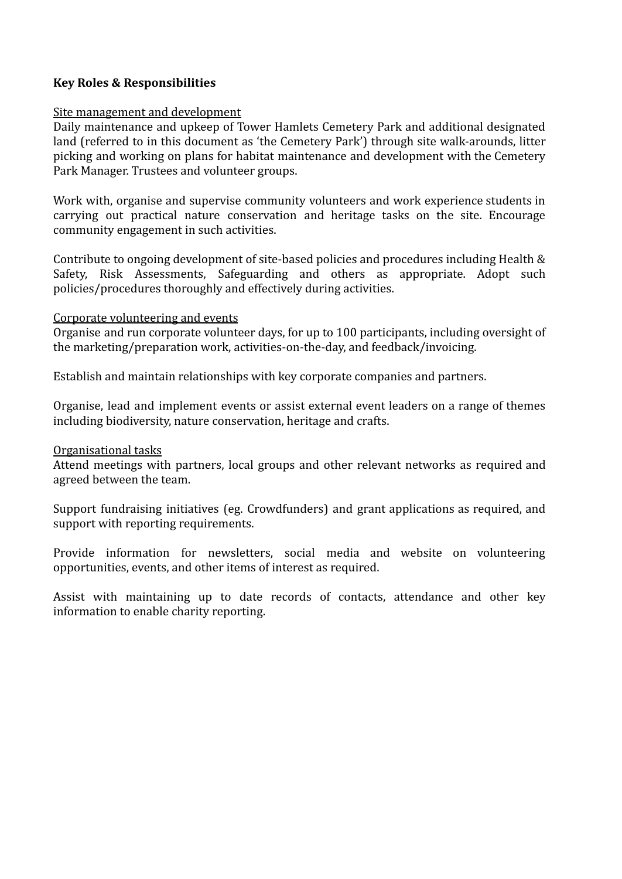## **Key Roles & Responsibilities**

#### Site management and development

Daily maintenance and upkeep of Tower Hamlets Cemetery Park and additional designated land (referred to in this document as 'the Cemetery Park') through site walk-arounds, litter picking and working on plans for habitat maintenance and development with the Cemetery Park Manager. Trustees and volunteer groups.

Work with, organise and supervise community volunteers and work experience students in carrying out practical nature conservation and heritage tasks on the site. Encourage community engagement in such activities.

Contribute to ongoing development of site-based policies and procedures including Health & Safety, Risk Assessments, Safeguarding and others as appropriate. Adopt such policies/procedures thoroughly and effectively during activities.

#### Corporate volunteering and events

Organise and run corporate volunteer days, for up to 100 participants, including oversight of the marketing/preparation work, activities-on-the-day, and feedback/invoicing.

Establish and maintain relationships with key corporate companies and partners.

Organise, lead and implement events or assist external event leaders on a range of themes including biodiversity, nature conservation, heritage and crafts.

## Organisational tasks

Attend meetings with partners, local groups and other relevant networks as required and agreed between the team.

Support fundraising initiatives (eg. Crowdfunders) and grant applications as required, and support with reporting requirements.

Provide information for newsletters, social media and website on volunteering opportunities, events, and other items of interest as required.

Assist with maintaining up to date records of contacts, attendance and other key information to enable charity reporting.